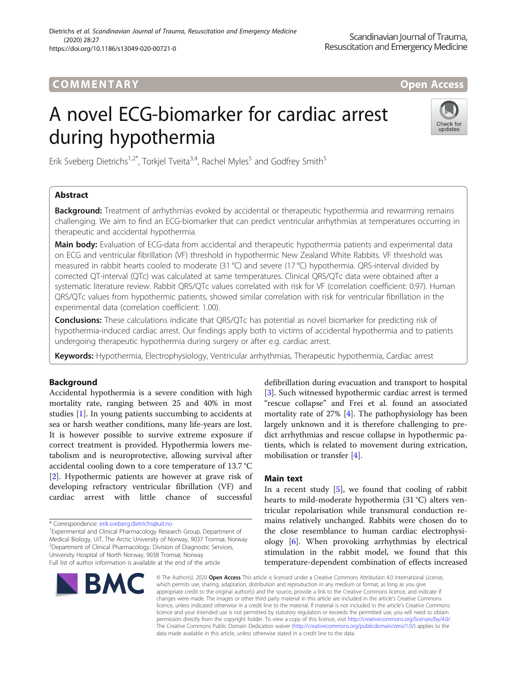# COMM EN TARY Open Access

# A novel ECG-biomarker for cardiac arrest during hypothermia



Erik Sveberg Dietrichs<sup>1,2\*</sup>, Torkjel Tveita<sup>3,4</sup>, Rachel Myles<sup>5</sup> and Godfrey Smith<sup>5</sup>

# Abstract

**Background:** Treatment of arrhythmias evoked by accidental or therapeutic hypothermia and rewarming remains challenging. We aim to find an ECG-biomarker that can predict ventricular arrhythmias at temperatures occurring in therapeutic and accidental hypothermia.

Main body: Evaluation of ECG-data from accidental and therapeutic hypothermia patients and experimental data on ECG and ventricular fibrillation (VF) threshold in hypothermic New Zealand White Rabbits. VF threshold was measured in rabbit hearts cooled to moderate (31 °C) and severe (17 °C) hypothermia. QRS-interval divided by corrected QT-interval (QTc) was calculated at same temperatures. Clinical QRS/QTc data were obtained after a systematic literature review. Rabbit QRS/QTc values correlated with risk for VF (correlation coefficient: 0.97). Human QRS/QTc values from hypothermic patients, showed similar correlation with risk for ventricular fibrillation in the experimental data (correlation coefficient: 1.00).

**Conclusions:** These calculations indicate that QRS/QTc has potential as novel biomarker for predicting risk of hypothermia-induced cardiac arrest. Our findings apply both to victims of accidental hypothermia and to patients undergoing therapeutic hypothermia during surgery or after e.g. cardiac arrest.

Keywords: Hypothermia, Electrophysiology, Ventricular arrhythmias, Therapeutic hypothermia, Cardiac arrest

# Background

Accidental hypothermia is a severe condition with high mortality rate, ranging between 25 and 40% in most studies [\[1\]](#page-2-0). In young patients succumbing to accidents at sea or harsh weather conditions, many life-years are lost. It is however possible to survive extreme exposure if correct treatment is provided. Hypothermia lowers metabolism and is neuroprotective, allowing survival after accidental cooling down to a core temperature of 13.7 °C [[2\]](#page-2-0). Hypothermic patients are however at grave risk of developing refractory ventricular fibrillation (VF) and cardiac arrest with little chance of successful

<sup>1</sup> Experimental and Clinical Pharmacology Research Group, Department of Medical Biology, UiT, The Arctic University of Norway, 9037 Tromsø, Norway 2 Department of Clinical Pharmacology, Division of Diagnostic Services, University Hospital of North Norway, 9038 Tromsø, Norway Full list of author information is available at the end of the article



defibrillation during evacuation and transport to hospital [[3\]](#page-2-0). Such witnessed hypothermic cardiac arrest is termed "rescue collapse" and Frei et al. found an associated mortality rate of 27% [\[4](#page-2-0)]. The pathophysiology has been largely unknown and it is therefore challenging to predict arrhythmias and rescue collapse in hypothermic patients, which is related to movement during extrication, mobilisation or transfer [\[4](#page-2-0)].

# Main text

In a recent study  $[5]$  $[5]$ , we found that cooling of rabbit hearts to mild-moderate hypothermia (31 °C) alters ventricular repolarisation while transmural conduction remains relatively unchanged. Rabbits were chosen do to the close resemblance to human cardiac electrophysiology [[6\]](#page-2-0). When provoking arrhythmias by electrical stimulation in the rabbit model, we found that this temperature-dependent combination of effects increased

© The Author(s), 2020 **Open Access** This article is licensed under a Creative Commons Attribution 4.0 International License, which permits use, sharing, adaptation, distribution and reproduction in any medium or format, as long as you give appropriate credit to the original author(s) and the source, provide a link to the Creative Commons licence, and indicate if changes were made. The images or other third party material in this article are included in the article's Creative Commons licence, unless indicated otherwise in a credit line to the material. If material is not included in the article's Creative Commons licence and your intended use is not permitted by statutory regulation or exceeds the permitted use, you will need to obtain permission directly from the copyright holder. To view a copy of this licence, visit [http://creativecommons.org/licenses/by/4.0/.](http://creativecommons.org/licenses/by/4.0/) The Creative Commons Public Domain Dedication waiver [\(http://creativecommons.org/publicdomain/zero/1.0/](http://creativecommons.org/publicdomain/zero/1.0/)) applies to the data made available in this article, unless otherwise stated in a credit line to the data.

<sup>\*</sup> Correspondence: [erik.sveberg.dietrichs@uit.no](mailto:erik.sveberg.dietrichs@uit.no) <sup>1</sup>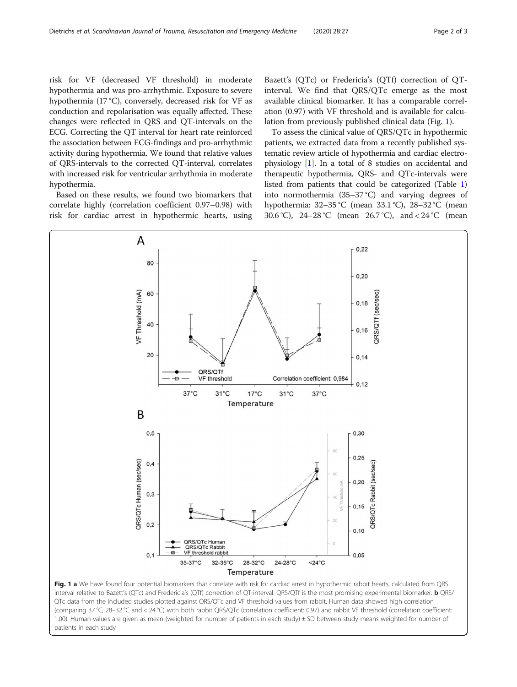<span id="page-1-0"></span>risk for VF (decreased VF threshold) in moderate hypothermia and was pro-arrhythmic. Exposure to severe hypothermia (17 °C), conversely, decreased risk for VF as conduction and repolarisation was equally affected. These changes were reflected in QRS and QT-intervals on the ECG. Correcting the QT interval for heart rate reinforced the association between ECG-findings and pro-arrhythmic activity during hypothermia. We found that relative values of QRS-intervals to the corrected QT-interval, correlates with increased risk for ventricular arrhythmia in moderate hypothermia.

Based on these results, we found two biomarkers that correlate highly (correlation coefficient 0.97–0.98) with risk for cardiac arrest in hypothermic hearts, using

Bazett's (QTc) or Fredericia's (QTf) correction of QTinterval. We find that QRS/QTc emerge as the most available clinical biomarker. It has a comparable correlation (0.97) with VF threshold and is available for calculation from previously published clinical data (Fig. 1).

To assess the clinical value of QRS/QTc in hypothermic patients, we extracted data from a recently published systematic review article of hypothermia and cardiac electrophysiology [\[1](#page-2-0)]. In a total of 8 studies on accidental and therapeutic hypothermia, QRS- and QTc-intervals were listed from patients that could be categorized (Table [1](#page-2-0)) into normothermia (35–37 °C) and varying degrees of hypothermia: 32–35 °C (mean 33.1 °C), 28–32 °C (mean 30.6 °C), 24–28 °C (mean 26.7 °C), and < 24 °C (mean